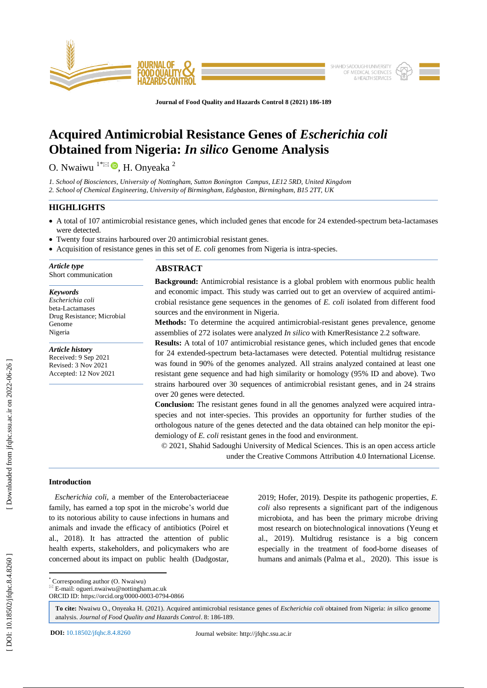

**Journal of Food Quality and Hazards Control 8 (2021) 186 - 189**

# **Acquired Antimicrobial Resistance Genes of** *Escherichia coli* **Obtained from Nigeria:** *In silico* **Genome Analysis**

O. Nwaiwu  $1^* \boxtimes \bullet$ , H. Onyeaka  $^2$ 

*1. School of Biosciences, University of Nottingham, Sutton Bonington Campus, LE12 5RD, United Kingdom 2. School of Chemical Engineering, University of Birmingham, Edgbaston, Birmingham, B15 2TT, UK* 

## **HIGHLIGHTS**

- A total of 107 antimicrobial resistance genes, which included genes that encode for 24 extended-spectrum beta-lactamases were detected.
- Twenty four strains harboured over 20 antimicrobial resistant genes.
- Acquisition of resistance genes in this set of *E. coli* genomes from Nigeria is intra-species.

*Article type* Short communication

## *Keywords*

*Escherichia coli* beta -Lactamases Drug Resistance; Microbial Genome Nigeria

*Article history* Received: 9 Sep 2021 Revised: 3 Nov 2021 Accepted: 12 Nov 2021

# **ABSTRACT**

**Background:** Antimicrobial resistance is a global problem with enormous public health and economic impact. This study was carried out to get an overview of acquired antimicrobial resistance gene sequences in the genomes of *E. coli* isolated from different food sources and the environment in Nigeria .

Methods: To determine the acquired antimicrobial-resistant genes prevalence, genome assemblies of 272 isolates were analyzed *In silico* with KmerResistance 2.2 software.

**Results:** A total of 107 antimicrobial resistance genes, which included genes that encode for 24 extended -spectrum beta -lactamases were detected. Potential multidrug resistance was found in 90% of the genomes analyzed. All strains analyzed contained at least one resistant gene sequence and had high similarity or homology (95% ID and above). Two strains harboured over 30 sequences of antimicrobial resistant genes, and in 24 strains over 20 genes were detected.

**Conclusion:** The resistant genes found in all the genomes analyzed were acquired intraspecies and not inter -species. This provides an opportunity for further studies of the orthologous nature of the genes detected and the data obtained can help monitor the epidemiology of *E. coli* resistant genes in the food and environment.

© 20 2 1, Shahid Sadoughi University of Medical Sciences. This is an open access article under the Creative Commons Attribution 4.0 International License.

# **Introduction**

 *Escherichia coli* , a member of the Enterobacteriaceae family, has earned a top spot in the microbe's world due to its notorious ability to cause infections in humans and animals and invade the efficacy of antibiotics (Poirel et al., 2018). It has attracted the attention of public health experts, stakeholders, and policymakers who are concerned about its impact on public health (Dadgostar, 2019; Hofer, 2019). Despite its pathogenic properties, *E. coli* also represents a significant part of the indigenous microbiota, and has been the primary microbe driving most research on biotechnological innovations (Yeung et al., 2019). Multidrug resistance is a big concern especially in the treatment of food -borne diseases of humans and animals (Palma et al., 2020). This issue is

\* Corresponding author (O. Nwaiwu)

 $E = E$ -mail: ogueri.nwaiwu@nottingham.ac.uk

ORCID ID: https://orcid.org/0000 -0003 -0794 -0866

**To cite:** Nwaiwu O., Onyeaka H. (2021). Acquired antimicrobial resistance genes of *Escherichia coli* obtained from Nigeria: *in silico* genome analysis. Journal of Food Quality and Hazards Control. 8: 186-189.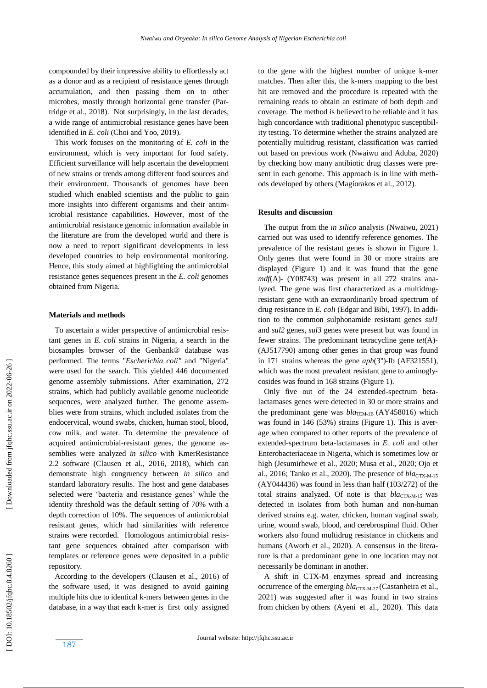compounded by their impressive ability to effortlessly act as a donor and as a recipient of resistance genes through accumulation, and then passing them on to other microbes, mostly through horizontal gene transfer (Partridge et al., 2018). Not surprisingly, in the last decades, a wide range of antimicrobial resistance genes have been identified in *E. coli* (Choi and Yoo , 2019).

 This work focuses on the monitoring of *E. coli* in the environment, which is very important for food safety. Efficient surveillance wil l help ascertain the development of new strains or trends among different food sources and their environment. Thousands of genomes have been studied which enabled scientists and the public to gain more insights into different organisms and their antimicrobial resistance capabilities. However, most of the antimicrobial resistance genomic information available in the literature are from the developed world and there is now a need to report significant developments in less developed countries to help environmental monitoring. Hence, this study aimed at highlighting the antimicrobial resistance genes sequences present in the *E. coli* genomes obtained from Nigeria.

#### **Materials and methods**

 To ascertain a wider perspective of antimicrobial resistant genes in *E. coli* strains in Nigeria, a search in the biosamples browser of the Genbank® database was performed. The terms "*Escherichia coli"* and "Nigeria" were used for the search. This yielded 446 documented genome assembly submissions. After examination, 272 strains, which had publicly available genome nucleotide sequences, were analyzed further. The genome assemblies were from strains, which included isolates from the endocervical, wound swabs, chicken, human stool, blood, cow milk, and water. To determine the prevalence of acquired antimicrobial -resistant genes, the genome assemblies were analyzed *in silico* with KmerResistance 2.2 software (Clausen et al., 2016, 2018), which can demonstrate high congruency between *in silico* and standard laboratory results. The host and gene databases selected were 'bacteria and resistance genes' while the identity threshold was the default setting of 70% with a depth correction of 10%. The sequences of antimicrobial resistant genes, which had similarities with reference strains were recorded. Homologous antimicrobial resistant gene sequences obtained after comparison with templates or reference genes were deposited in a public repository.

 According to the developers (Clausen et al., 2016) of the software used, it was designed to avoid gaining multiple hits due to identical k -mers between genes in the database, in a way that each k -mer is first only assigned to the gene with the highest number of unique k -mer matches. Then after this, the k -mers mapping to the best hit are removed and the procedure is repeated with the remaining reads to obtain an estimate of both depth and coverage. The method is believed to be reliable and it has high concordance with traditional phenotypic susceptibility testing. To determine whether the strains analyzed are potentially multidrug resistant, classification was carried out based on previous work (Nwaiwu and Aduba, 2020) by checking how many antibiotic drug classes were present in each genome. This approach is in line with methods developed by others (Magiorakos et al., 2012).

#### **Results and discussion**

 The output from the *in silico* analysis (Nwaiwu , 2021) carried out was used to identify reference genomes. The prevalence of the resistant genes is shown in Figure 1. Only genes that were found in 30 or more strains are displayed (Figure 1) and it was found that the gene *mdf*(A) - (Y08743) was present in all 272 strains analyzed. The gene was first characterized as a multidrugresistant gene with an extraordinarily broad spectrum of drug resistance in *E. coli* (Edgar and Bibi, 1997). In addition to the common sulphonamide resistant genes *sul1* and *sul2* genes, *sul3* genes were present but was found in fewer strains. The predominant tetracycline gene *tet*(A) - (AJ517790) among other genes in that group was found in 171 strains whereas the gene *aph*(3'') -Ib (AF321551), which was the most prevalent resistant gene to aminoglycosides was found in 168 strains (Figure 1).

Only five out of the 24 extended-spectrum betalactamases genes were detected in 30 or more strains and the predominant gene was  $bla_{\text{TEM-1B}}$  (AY458016) which was found in 146 (53%) strains (Figure 1). This is average when compared to other reports of the prevalence of extended -spectrum beta -lactamases in *E. coli* and other Enterobacteriaceae in Nigeria, which is sometimes low or high (Jesumirhewe et al., 2020; Musa et al., 2020 ; Ojo et al., 2016; Tanko et al., 2020). The presence of  $bla_{\text{CTX-M-15}}$ (AY044436) was found in less than half (103/272) of the total strains analyzed. Of note is that  $bla_{\text{CTX-M-15}}$  was detected in isolates from both human and non -human derived strains e.g. water, chicken, human vaginal swab, urine, wound swab, blood, and cerebrospinal fluid. Other workers also found multidrug resistance in chickens and humans (Aworh et al., 2020). A consensus in the literature is that a predominant gene in one location may not necessarily be dominant in another.

 A shift in CTX -M enzymes spread and increasing occurrence of the emerging  $bla_{\text{CTX-M-27}}$  (Castanheira et al., 2021) was suggested after it was found in two strains from chicken by others (Ayeni et al., 2020). This data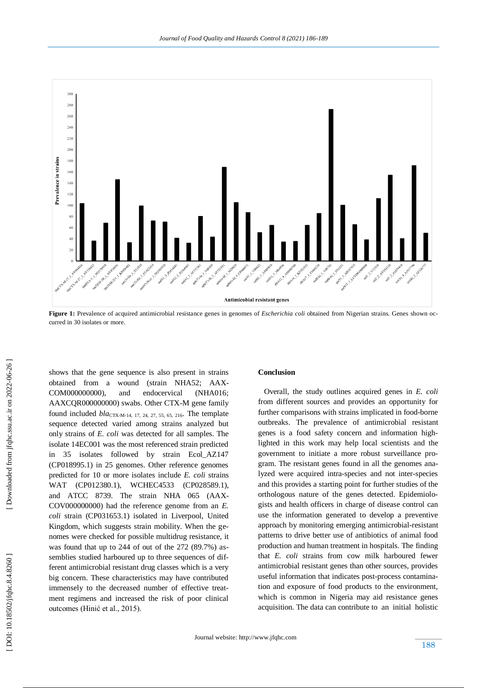

**Figure 1:** Prevalence of acquired antimicrobial resistance genes in genomes of *Escherichia coli* obtained from Nigerian strains. Genes shown occurred in 30 isolates or more.

shows that the gene sequence is also present in strains obtained from a wound (strain NHA52; AAX-COM000000000), and endocervical (NHA016; AAXCQR000000000) swabs. Other CTX -M gene family found included *bla*<sub>CTX-M-14, 17, 24, 27, 55, 65, 216</sub>. The template sequence detected varied among strains analyzed but only strains of *E. coli* was detected for all samples. The isolate 14EC001 was the most referenced strain predicted in 35 isolates followed by strain Ecol\_AZ147 (CP018995.1) in 25 genomes. Other reference genomes predicted for 10 or more isolates include *E. coli* strains WAT (CP012380.1), WCHEC4533 (CP028589.1), and ATCC 8739. The strain NHA 065 (AAX-COV000000000) had the reference genome from an *E. coli* strain (CP031653.1) isolated in Liverpool, United Kingdom, which suggests strain mobility. When the genomes were checked for possible multidrug resistance, it was found that up to 244 of out of the 272 (89.7%) assemblies studied harboured up to three sequences of different antimicrobial resistant drug classes which is a very big concern. These characteristics may have contributed immensely to the decreased number of effective treatment regimens and increased the risk of poor clinical outcomes (Hinić et al., 2015).

## **Conclusion**

 Overall, the study outlines acquired genes in *E. coli* from different sources and provides an opportunity for further comparisons with strains implicated in food -borne outbreaks. The prevalence of antimicrobial resistant genes is a food safety concern and information highlighted in this work may help local scientists and the government to initiate a more robust surveillance program. The resistant genes found in all the genomes analyzed were acquired intra-species and not inter-species and this provides a starting point for further studies of the orthologous nature of the genes detected. Epidemiologists and health officers in charge of disease control can use the information generated to develop a preventive approach by monitoring emerging antimicrobial -resistant patterns to drive better use of antibiotics of animal food production and human treatment in hospitals. The finding that *E. coli* strains from cow milk harboured fewer antimicrobial resistant genes than other sources, provides useful information that indicates post -process contamination and exposure of food products to the environment, which is common in Nigeria may aid resistance genes acquisition. The data can contribute to an initial holistic